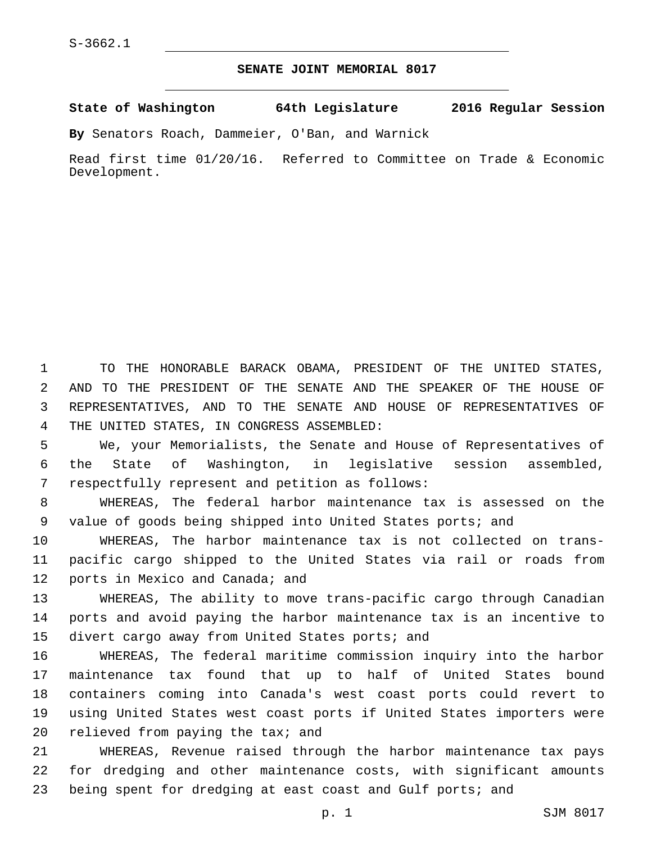## **SENATE JOINT MEMORIAL 8017**

**State of Washington 64th Legislature 2016 Regular Session**

**By** Senators Roach, Dammeier, O'Ban, and Warnick

Read first time 01/20/16. Referred to Committee on Trade & Economic Development.

 TO THE HONORABLE BARACK OBAMA, PRESIDENT OF THE UNITED STATES, AND TO THE PRESIDENT OF THE SENATE AND THE SPEAKER OF THE HOUSE OF REPRESENTATIVES, AND TO THE SENATE AND HOUSE OF REPRESENTATIVES OF 4 THE UNITED STATES, IN CONGRESS ASSEMBLED:

5 We, your Memorialists, the Senate and House of Representatives of 6 the State of Washington, in legislative session assembled, 7 respectfully represent and petition as follows:

8 WHEREAS, The federal harbor maintenance tax is assessed on the 9 value of goods being shipped into United States ports; and

10 WHEREAS, The harbor maintenance tax is not collected on trans-11 pacific cargo shipped to the United States via rail or roads from 12 ports in Mexico and Canada; and

13 WHEREAS, The ability to move trans-pacific cargo through Canadian 14 ports and avoid paying the harbor maintenance tax is an incentive to 15 divert cargo away from United States ports; and

 WHEREAS, The federal maritime commission inquiry into the harbor maintenance tax found that up to half of United States bound containers coming into Canada's west coast ports could revert to using United States west coast ports if United States importers were 20 relieved from paying the  $\text{tax }i$  and

21 WHEREAS, Revenue raised through the harbor maintenance tax pays 22 for dredging and other maintenance costs, with significant amounts 23 being spent for dredging at east coast and Gulf ports; and